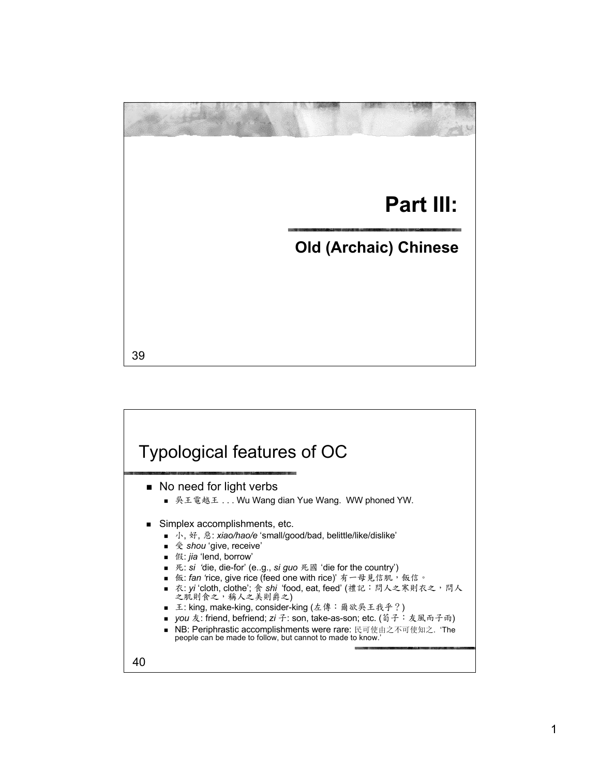## **Part III: Old (Archaic) Chinese**

39

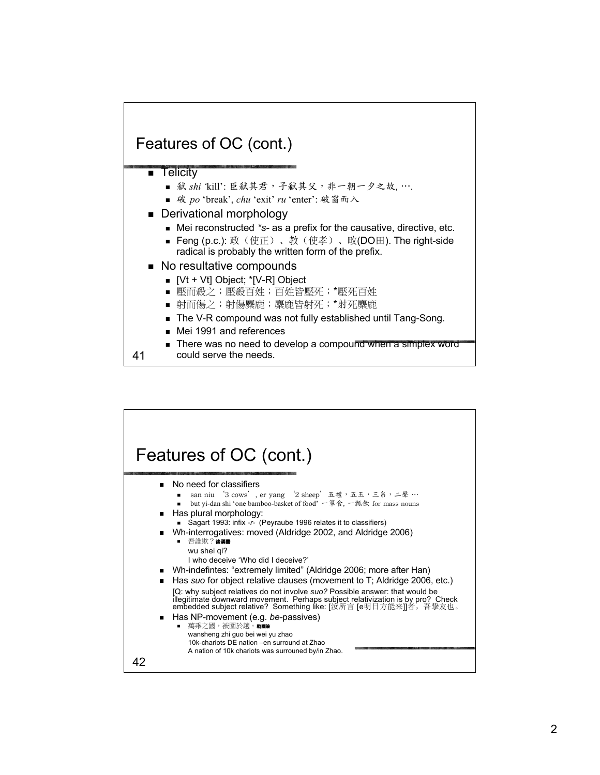

could serve the needs.

41

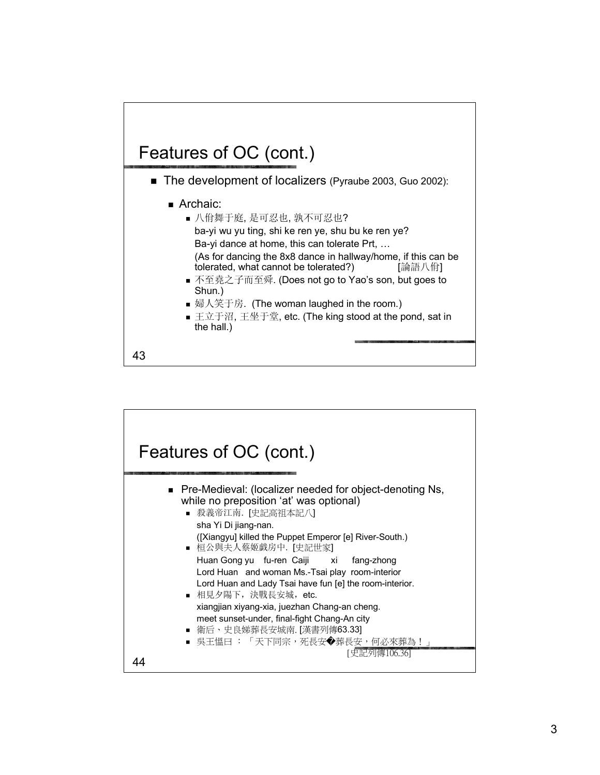

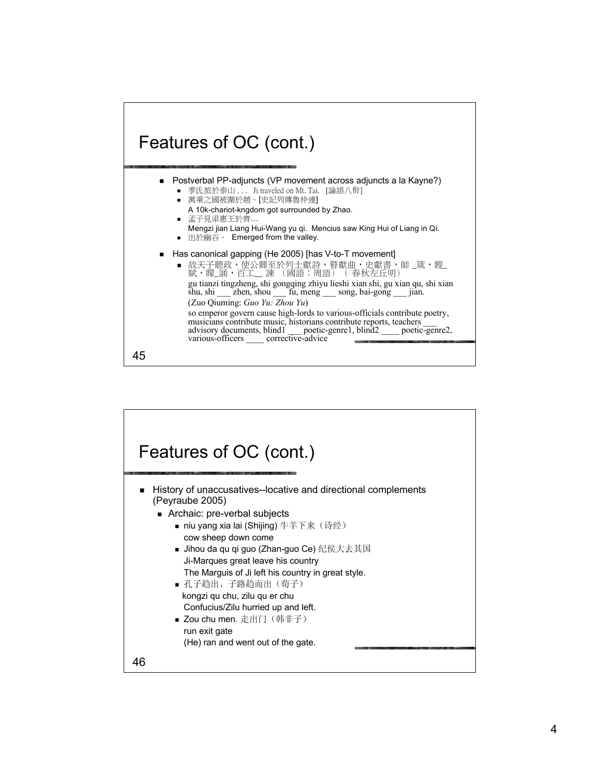

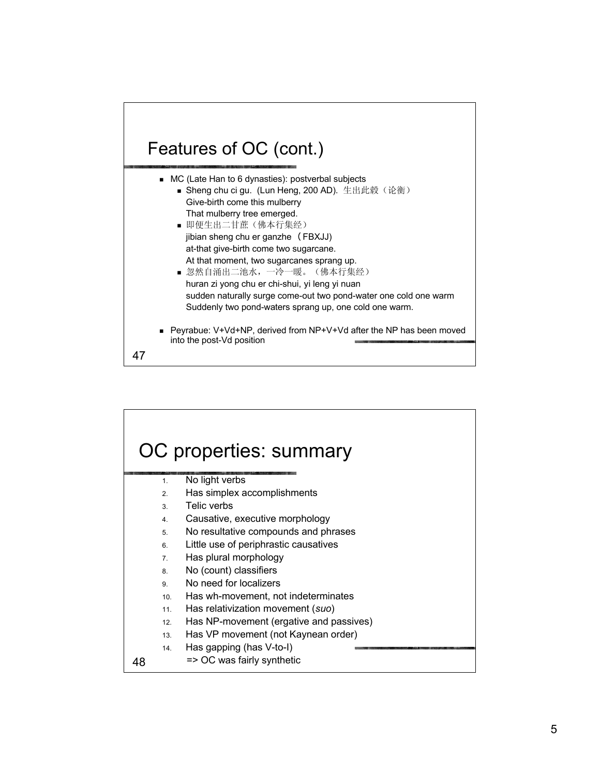## Features of OC (cont.)

| • MC (Late Han to 6 dynasties): postverbal subjects                                                |
|----------------------------------------------------------------------------------------------------|
| ■ Sheng chu ci gu. (Lun Heng, 200 AD). 生出此毂 (论衡)                                                   |
| Give-birth come this mulberry                                                                      |
| That mulberry tree emerged.                                                                        |
| ■ 即便生出二甘蔗(佛本行集经)                                                                                   |
| jibian sheng chu er ganzhe (FBXJJ)                                                                 |
| at-that give-birth come two sugarcane.                                                             |
| At that moment, two sugarcanes sprang up.                                                          |
| ■ 忽然自涌出二池水, 一冷一暖。(佛本行集经)                                                                           |
| huran zi yong chu er chi-shui, yi leng yi nuan                                                     |
| sudden naturally surge come-out two pond-water one cold one warm                                   |
| Suddenly two pond-waters sprang up, one cold one warm.                                             |
| ■ Peyrabue: V+Vd+NP, derived from NP+V+Vd after the NP has been moved<br>into the post-Vd position |
|                                                                                                    |

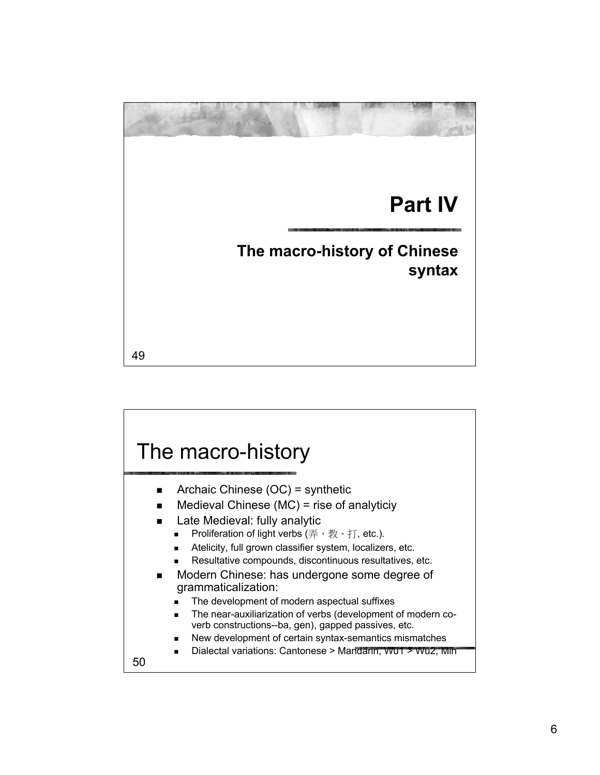

50 The macro-history Archaic Chinese  $(OC)$  = synthetic Medieval Chinese (MC) = rise of analyticiy Late Medieval: fully analytic **Proliferation of light verbs**  $(\overline{\#} \cdot \overline{\#} \cdot \overline{\#}, \text{ etc.}).$  Atelicity, full grown classifier system, localizers, etc. Resultative compounds, discontinuous resultatives, etc. Modern Chinese: has undergone some degree of grammaticalization: The development of modern aspectual suffixes The near-auxiliarization of verbs (development of modern coverb constructions--ba, gen), gapped passives, etc. New development of certain syntax-semantics mismatches Dialectal variations: Cantonese > Mandarin, Wu1 > Wu2, Min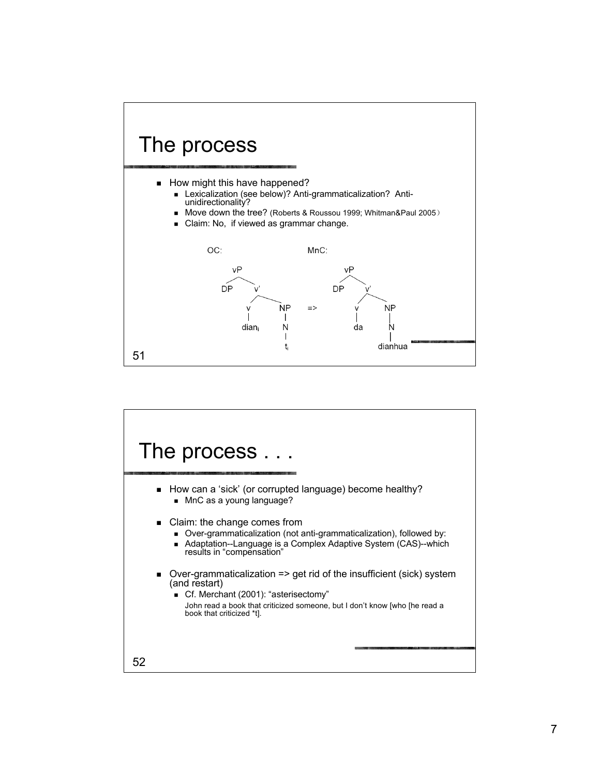

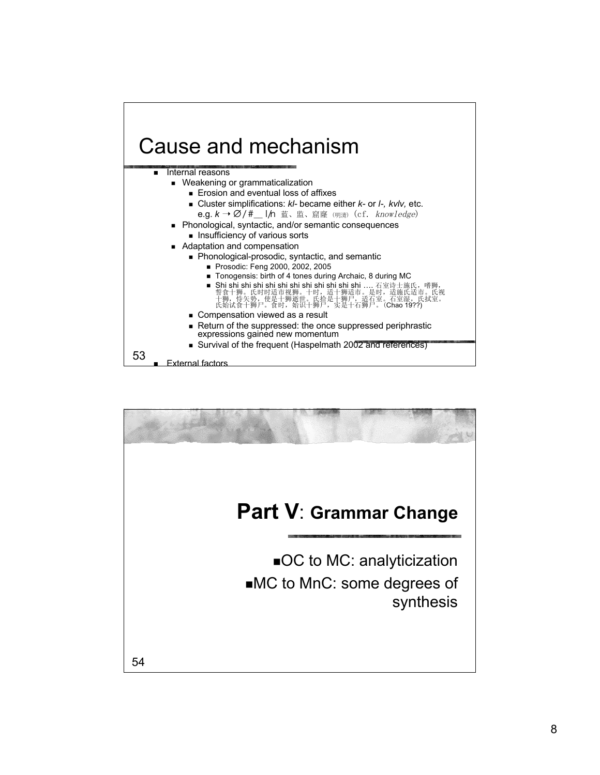

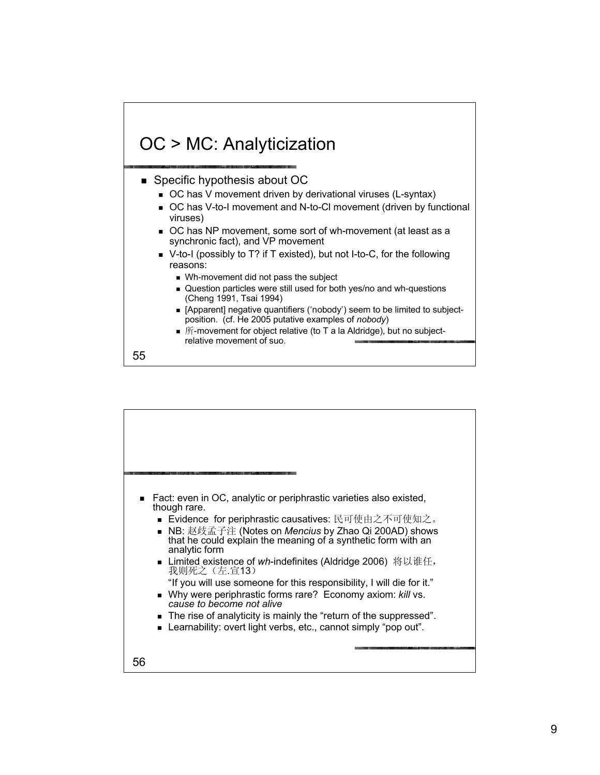

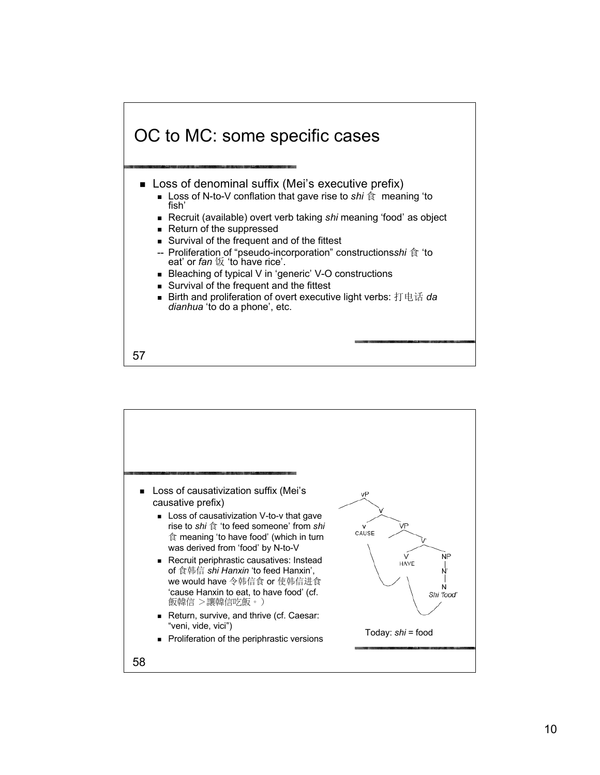

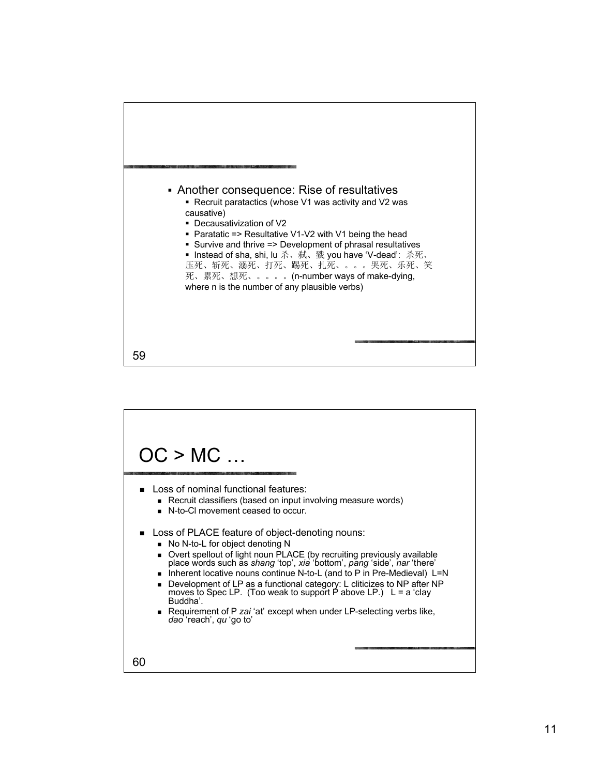

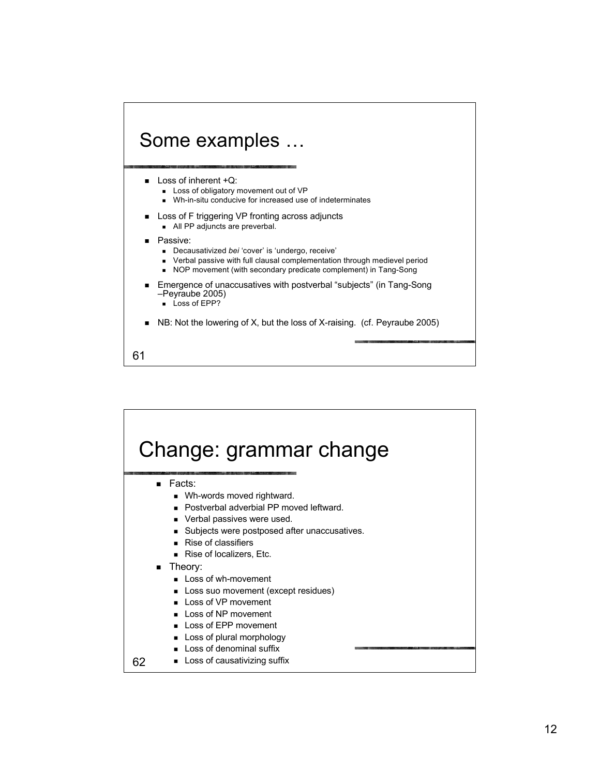

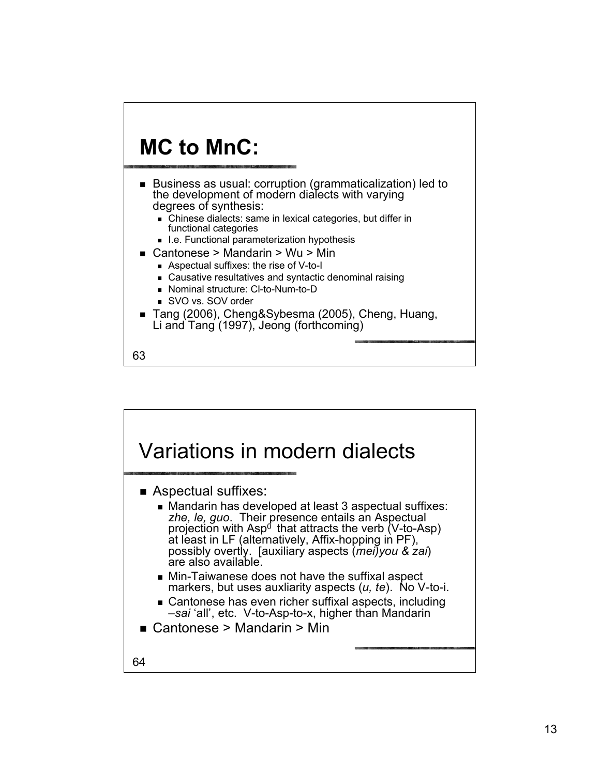

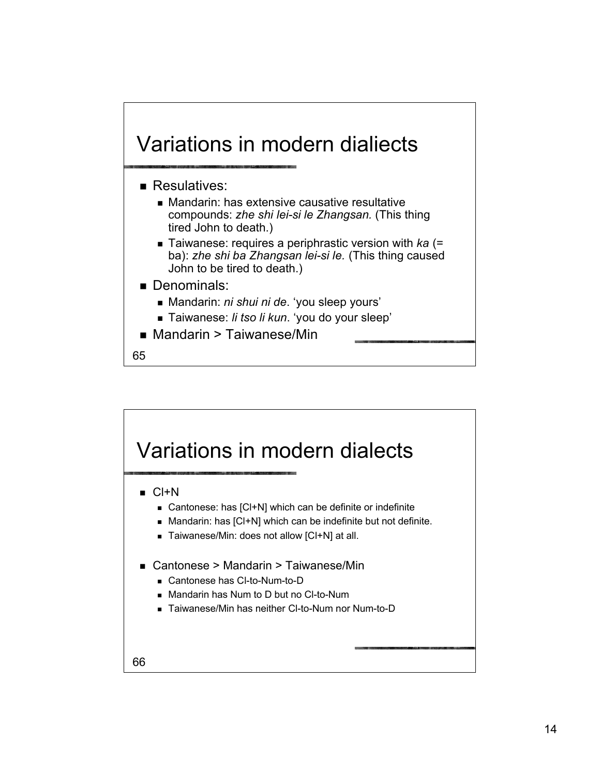